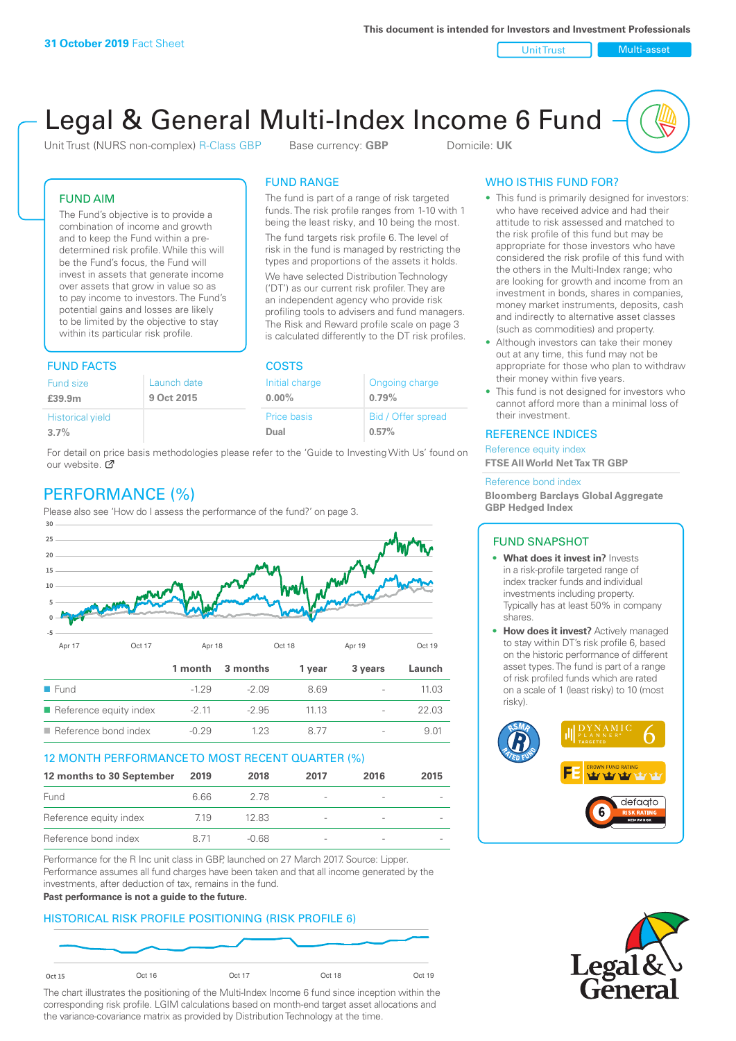Unit Trust Nulti-asset

# Legal & General Multi-Index Income 6 Fund

Unit Trust (NURS non-complex) R-Class GBP Base currency: **GBP** Domicile: UK

The fund is part of a range of risk targeted funds. The risk profile ranges from 1-10 with 1 being the least risky, and 10 being the most. The fund targets risk profile 6. The level of risk in the fund is managed by restricting the types and proportions of the assets it holds. We have selected Distribution Technology ('DT') as our current risk profiler. They are an independent agency who provide risk profiling tools to advisers and fund managers. The Risk and Reward profile scale on page 3 is calculated differently to the DT risk profiles.

FUND RANGE

FUND AIM

The Fund's objective is to provide a combination of income and growth and to keep the Fund within a predetermined risk profile. While this will be the Fund's focus, the Fund will invest in assets that generate income over assets that grow in value so as to pay income to investors. The Fund's potential gains and losses are likely to be limited by the objective to stay within its particular risk profile.

### FUND FACTS COSTS

| Fund size               | Launch date | Initial charge | Ongoing charge     |  |  |
|-------------------------|-------------|----------------|--------------------|--|--|
| £39.9m                  | 9 Oct 2015  | $0.00\%$       | 0.79%              |  |  |
| <b>Historical yield</b> |             | Price basis    | Bid / Offer spread |  |  |
| 3.7%                    |             | Dual           | 0.57%              |  |  |

For detail on price basis methodologies please refer to the 'Guide to Investing With Us' found on our website. Ø

# PERFORMANCE (%)

Please also see 'How do I assess the performance of the fund?' on page 3.



### 12 MONTH PERFORMANCE TO MOST RECENT QUARTER (%)

| 12 months to 30 September | 2019 | 2018  | 2017                     | 2016 | 2015 |
|---------------------------|------|-------|--------------------------|------|------|
| Fund                      | 6.66 | 278   | $\overline{\phantom{a}}$ |      |      |
| Reference equity index    | 719  | 12.83 | $\overline{\phantom{a}}$ |      |      |
| Reference bond index      | 871  | -0.68 | $\overline{\phantom{a}}$ |      |      |

Performance for the R Inc unit class in GBP, launched on 27 March 2017. Source: Lipper. Performance assumes all fund charges have been taken and that all income generated by the investments, after deduction of tax, remains in the fund.

### **Past performance is not a guide to the future.**

### HISTORICAL RISK PROFILE POSITIONING (RISK PROFILE 6)



The chart illustrates the positioning of the Multi-Index Income 6 fund since inception within the corresponding risk profile. LGIM calculations based on month-end target asset allocations and the variance-covariance matrix as provided by Distribution Technology at the time.

### WHO IS THIS FUND FOR?

- This fund is primarily designed for investors: who have received advice and had their attitude to risk assessed and matched to the risk profile of this fund but may be appropriate for those investors who have considered the risk profile of this fund with the others in the Multi-Index range; who are looking for growth and income from an investment in bonds, shares in companies, money market instruments, deposits, cash and indirectly to alternative asset classes (such as commodities) and property.
- Although investors can take their money out at any time, this fund may not be appropriate for those who plan to withdraw their money within five years.
- This fund is not designed for investors who cannot afford more than a minimal loss of their investment.

### REFERENCE INDICES

Reference equity index **FTSE All World Net Tax TR GBP**

#### Reference bond index

**Bloomberg Barclays Global Aggregate GBP Hedged Index**

### FUND SNAPSHOT

- **• What does it invest in?** Invests in a risk-profile targeted range of index tracker funds and individual investments including property. Typically has at least 50% in company shares.
- **• How does it invest?** Actively managed to stay within DT's risk profile 6, based on the historic performance of different asset types. The fund is part of a range of risk profiled funds which are rated on a scale of 1 (least risky) to 10 (most risky).



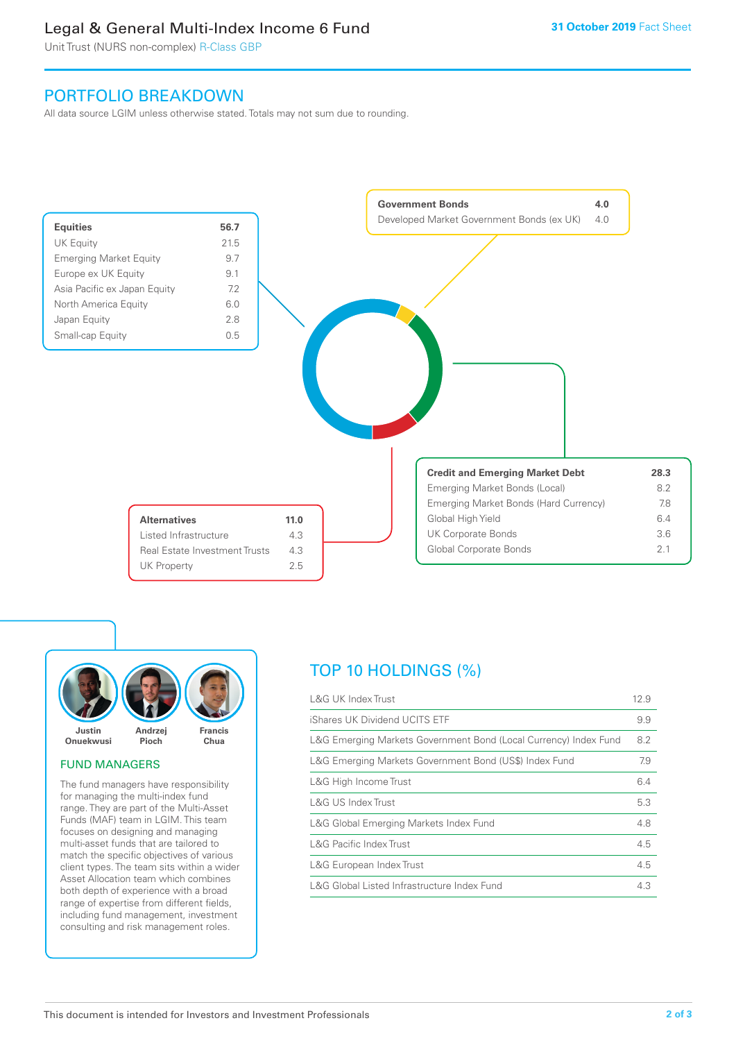### Legal & General Multi-Index Income 6 Fund

Unit Trust (NURS non-complex) R-Class GBP

### PORTFOLIO BREAKDOWN

All data source LGIM unless otherwise stated. Totals may not sum due to rounding.





### FUND MANAGERS

The fund managers have responsibility for managing the multi-index fund range. They are part of the Multi-Asset Funds (MAF) team in LGIM. This team focuses on designing and managing multi-asset funds that are tailored to match the specific objectives of various client types. The team sits within a wider Asset Allocation team which combines both depth of experience with a broad range of expertise from different fields, including fund management, investment consulting and risk management roles.

# TOP 10 HOLDINGS (%)

| <b>L&amp;G UK Index Trust</b>                                    | 12.9 |
|------------------------------------------------------------------|------|
| iShares UK Dividend UCITS ETF                                    | 9.9  |
| L&G Emerging Markets Government Bond (Local Currency) Index Fund | 8.2  |
| L&G Emerging Markets Government Bond (US\$) Index Fund           | 7.9  |
| L&G High Income Trust                                            | 6.4  |
| L&G US Index Trust                                               | 5.3  |
| L&G Global Emerging Markets Index Fund                           | 4.8  |
| <b>L&amp;G Pacific Index Trust</b>                               | 4.5  |
| L&G European Index Trust                                         | 4.5  |
| L&G Global Listed Infrastructure Index Fund                      | 4.3  |